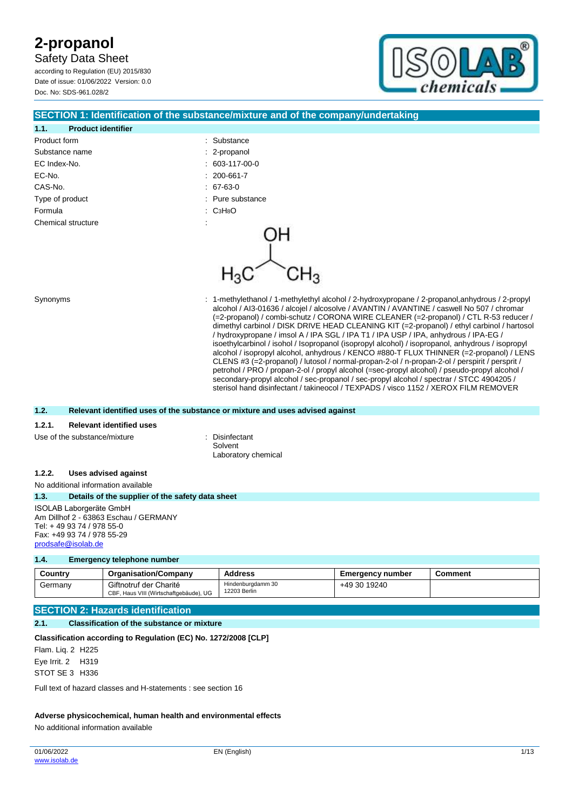Safety Data Sheet

according to Regulation (EU) 2015/830 Date of issue: 01/06/2022 Version: 0.0 Doc. No: SDS-961.028/2



#### **SECTION 1: Identification of the substance/mixture and of the company/undertaking**

| : Substance      |
|------------------|
| : 2-propanol     |
| $: 603-117-00-0$ |
| $: 200-661-7$    |
| $. 67-63-0$      |
| : Pure substance |
| : СзНвО          |
| ٠<br>÷.          |
|                  |

Synonyms : 1-methylethanol / 1-methylethyl alcohol / 2-hydroxypropane / 2-propanol,anhydrous / 2-propyl alcohol / AI3-01636 / alcojel / alcosolve / AVANTIN / AVANTINE / caswell No 507 / chromar (=2-propanol) / combi-schutz / CORONA WIRE CLEANER (=2-propanol) / CTL R-53 reducer / dimethyl carbinol / DISK DRIVE HEAD CLEANING KIT (=2-propanol) / ethyl carbinol / hartosol / hydroxypropane / imsol A / IPA SGL / IPA T1 / IPA USP / IPA, anhydrous / IPA-EG / isoethylcarbinol / isohol / Isopropanol (isopropyl alcohol) / isopropanol, anhydrous / isopropyl alcohol / isopropyl alcohol, anhydrous / KENCO #880-T FLUX THINNER (=2-propanol) / LENS CLENS #3 (=2-propanol) / lutosol / normal-propan-2-ol / n-propan-2-ol / perspirit / persprit / petrohol / PRO / propan-2-ol / propyl alcohol (=sec-propyl alcohol) / pseudo-propyl alcohol / secondary-propyl alcohol / sec-propanol / sec-propyl alcohol / spectrar / STCC 4904205 / sterisol hand disinfectant / takineocol / TEXPADS / visco 1152 / XEROX FILM REMOVER

#### **1.2. Relevant identified uses of the substance or mixture and uses advised against**

#### **1.2.1. Relevant identified uses**

Use of the substance/mixture : Disinfectant

Solvent Laboratory chemical

#### **1.2.2. Uses advised against**

No additional information available

**1.3. Details of the supplier of the safety data sheet**

ISOLAB Laborgeräte GmbH Am Dillhof 2 - 63863 Eschau / GERMANY Tel: + 49 93 74 / 978 55-0 Fax: +49 93 74 / 978 55-29 [prodsafe@isolab.de](mailto:prodsafe@isolab.de)

#### **1.4. Emergency telephone number**

| Country | <b>Organisation/Company</b>                                      | <b>Address</b>                    | <b>Emergency number</b> | Comment |
|---------|------------------------------------------------------------------|-----------------------------------|-------------------------|---------|
| Germanv | Giftnotruf der Charité<br>CBF, Haus VIII (Wirtschaftgebäude), UG | Hindenburgdamm 30<br>12203 Berlin | +49 30 19240            |         |

### **SECTION 2: Hazards identification**

#### **2.1. Classification of the substance or mixture**

**Classification according to Regulation (EC) No. 1272/2008 [CLP]**

Flam. Liq. 2 H225 Eye Irrit. 2 H319 STOT SE 3 H336

Full text of hazard classes and H-statements : see section 16

#### **Adverse physicochemical, human health and environmental effects**

No additional information available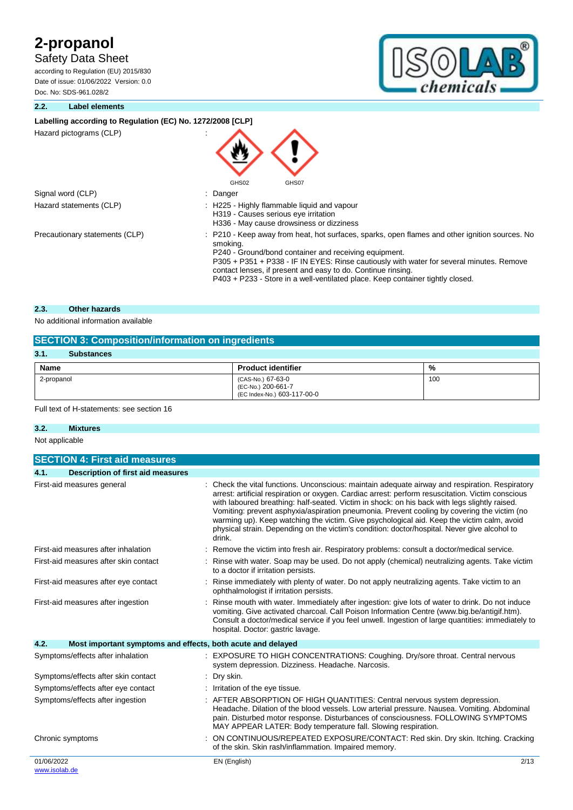Safety Data Sheet

according to Regulation (EU) 2015/830 Date of issue: 01/06/2022 Version: 0.0 Doc. No: SDS-961.028/2



#### **2.2. Label elements**

#### Labelling according to Regulation (EC) No. 1272/2008 [CLP]

Hazard pictograms (CLP) :

| Signal word (CLP)       |  |
|-------------------------|--|
| Hazard statements (CLP) |  |
|                         |  |

: H225 - Highly flammable liquid and vapour H319 - Causes serious eye irritation H336 - May cause drowsiness or dizziness Precautionary statements (CLP) : P210 - Keep away from heat, hot surfaces, sparks, open flames and other ignition sources. No smoking. P240 - Ground/bond container and receiving equipment. P305 + P351 + P338 - IF IN EYES: Rinse cautiously with water for several minutes. Remove contact lenses, if present and easy to do. Continue rinsing. P403 + P233 - Store in a well-ventilated place. Keep container tightly closed.

#### **2.3. Other hazards**

No additional information available

### **SECTION 3: Composition/information on ingredients**

| 3.1.<br><b>Substances</b> |                                                                        |     |
|---------------------------|------------------------------------------------------------------------|-----|
| Name                      | <b>Product identifier</b>                                              | %   |
| 2-propanol                | (CAS-No.) 67-63-0<br>(EC-No.) 200-661-7<br>(EC Index-No.) 603-117-00-0 | 100 |

GHS02 GHS07

: Danger

#### Full text of H-statements: see section 16

#### **3.2. Mixtures**

Not applicable

| <b>SECTION 4: First aid measures</b>                                |                                                                                                                                                                                                                                                                                                                                                                                                                                                                                                                                                                                                            |
|---------------------------------------------------------------------|------------------------------------------------------------------------------------------------------------------------------------------------------------------------------------------------------------------------------------------------------------------------------------------------------------------------------------------------------------------------------------------------------------------------------------------------------------------------------------------------------------------------------------------------------------------------------------------------------------|
| <b>Description of first aid measures</b><br>4.1.                    |                                                                                                                                                                                                                                                                                                                                                                                                                                                                                                                                                                                                            |
| First-aid measures general                                          | Check the vital functions. Unconscious: maintain adequate airway and respiration. Respiratory<br>arrest: artificial respiration or oxygen. Cardiac arrest: perform resuscitation. Victim conscious<br>with laboured breathing: half-seated. Victim in shock: on his back with legs slightly raised.<br>Vomiting: prevent asphyxia/aspiration pneumonia. Prevent cooling by covering the victim (no<br>warming up). Keep watching the victim. Give psychological aid. Keep the victim calm, avoid<br>physical strain. Depending on the victim's condition: doctor/hospital. Never give alcohol to<br>drink. |
| First-aid measures after inhalation                                 | Remove the victim into fresh air. Respiratory problems: consult a doctor/medical service.                                                                                                                                                                                                                                                                                                                                                                                                                                                                                                                  |
| First-aid measures after skin contact                               | Rinse with water. Soap may be used. Do not apply (chemical) neutralizing agents. Take victim<br>to a doctor if irritation persists.                                                                                                                                                                                                                                                                                                                                                                                                                                                                        |
| First-aid measures after eye contact                                | Rinse immediately with plenty of water. Do not apply neutralizing agents. Take victim to an<br>ophthalmologist if irritation persists.                                                                                                                                                                                                                                                                                                                                                                                                                                                                     |
| First-aid measures after ingestion                                  | Rinse mouth with water. Immediately after ingestion: give lots of water to drink. Do not induce<br>vomiting. Give activated charcoal. Call Poison Information Centre (www.big.be/antigif.htm).<br>Consult a doctor/medical service if you feel unwell. Ingestion of large quantities: immediately to<br>hospital. Doctor: gastric lavage.                                                                                                                                                                                                                                                                  |
| 4.2.<br>Most important symptoms and effects, both acute and delayed |                                                                                                                                                                                                                                                                                                                                                                                                                                                                                                                                                                                                            |
| Symptoms/effects after inhalation                                   | EXPOSURE TO HIGH CONCENTRATIONS: Coughing. Dry/sore throat. Central nervous<br>system depression. Dizziness. Headache. Narcosis.                                                                                                                                                                                                                                                                                                                                                                                                                                                                           |
| Symptoms/effects after skin contact                                 | Dry skin.                                                                                                                                                                                                                                                                                                                                                                                                                                                                                                                                                                                                  |
| Symptoms/effects after eye contact                                  | Irritation of the eye tissue.                                                                                                                                                                                                                                                                                                                                                                                                                                                                                                                                                                              |
| Symptoms/effects after ingestion                                    | AFTER ABSORPTION OF HIGH QUANTITIES: Central nervous system depression.<br>Headache. Dilation of the blood vessels. Low arterial pressure. Nausea. Vomiting. Abdominal<br>pain. Disturbed motor response. Disturbances of consciousness. FOLLOWING SYMPTOMS<br>MAY APPEAR LATER: Body temperature fall. Slowing respiration.                                                                                                                                                                                                                                                                               |
| Chronic symptoms                                                    | ON CONTINUOUS/REPEATED EXPOSURE/CONTACT: Red skin. Dry skin. Itching. Cracking<br>of the skin. Skin rash/inflammation. Impaired memory.                                                                                                                                                                                                                                                                                                                                                                                                                                                                    |
| 01/06/2022                                                          | 2/13<br>EN (English)                                                                                                                                                                                                                                                                                                                                                                                                                                                                                                                                                                                       |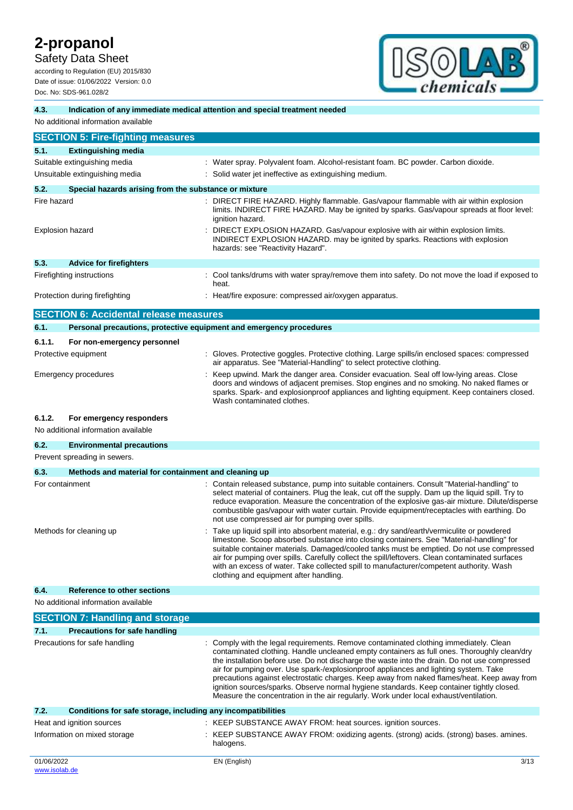Safety Data Sheet

according to Regulation (EU) 2015/830 Date of issue: 01/06/2022 Version: 0.0 Doc. No: SDS-961.028/2



#### **4.3. Indication of any immediate medical attention and special treatment needed**

|             | No additional information available                   |                                                                                                                                                                                                                                                                                                                                                                                                                                                                                                                                                                                                                                                                    |
|-------------|-------------------------------------------------------|--------------------------------------------------------------------------------------------------------------------------------------------------------------------------------------------------------------------------------------------------------------------------------------------------------------------------------------------------------------------------------------------------------------------------------------------------------------------------------------------------------------------------------------------------------------------------------------------------------------------------------------------------------------------|
|             | <b>SECTION 5: Fire-fighting measures</b>              |                                                                                                                                                                                                                                                                                                                                                                                                                                                                                                                                                                                                                                                                    |
| 5.1.        | <b>Extinguishing media</b>                            |                                                                                                                                                                                                                                                                                                                                                                                                                                                                                                                                                                                                                                                                    |
|             | Suitable extinguishing media                          | : Water spray. Polyvalent foam. Alcohol-resistant foam. BC powder. Carbon dioxide.                                                                                                                                                                                                                                                                                                                                                                                                                                                                                                                                                                                 |
|             | Unsuitable extinguishing media                        | : Solid water jet ineffective as extinguishing medium.                                                                                                                                                                                                                                                                                                                                                                                                                                                                                                                                                                                                             |
| 5.2.        | Special hazards arising from the substance or mixture |                                                                                                                                                                                                                                                                                                                                                                                                                                                                                                                                                                                                                                                                    |
| Fire hazard |                                                       | : DIRECT FIRE HAZARD. Highly flammable. Gas/vapour flammable with air within explosion<br>limits. INDIRECT FIRE HAZARD. May be ignited by sparks. Gas/vapour spreads at floor level:<br>ignition hazard.                                                                                                                                                                                                                                                                                                                                                                                                                                                           |
|             | <b>Explosion hazard</b>                               | : DIRECT EXPLOSION HAZARD. Gas/vapour explosive with air within explosion limits.<br>INDIRECT EXPLOSION HAZARD. may be ignited by sparks. Reactions with explosion<br>hazards: see "Reactivity Hazard".                                                                                                                                                                                                                                                                                                                                                                                                                                                            |
| 5.3.        | <b>Advice for firefighters</b>                        |                                                                                                                                                                                                                                                                                                                                                                                                                                                                                                                                                                                                                                                                    |
|             | Firefighting instructions                             | : Cool tanks/drums with water spray/remove them into safety. Do not move the load if exposed to<br>heat.                                                                                                                                                                                                                                                                                                                                                                                                                                                                                                                                                           |
|             | Protection during firefighting                        | : Heat/fire exposure: compressed air/oxygen apparatus.                                                                                                                                                                                                                                                                                                                                                                                                                                                                                                                                                                                                             |
|             | <b>SECTION 6: Accidental release measures</b>         |                                                                                                                                                                                                                                                                                                                                                                                                                                                                                                                                                                                                                                                                    |
| 6.1.        |                                                       | Personal precautions, protective equipment and emergency procedures                                                                                                                                                                                                                                                                                                                                                                                                                                                                                                                                                                                                |
| 6.1.1.      | For non-emergency personnel                           |                                                                                                                                                                                                                                                                                                                                                                                                                                                                                                                                                                                                                                                                    |
|             | Protective equipment                                  | : Gloves. Protective goggles. Protective clothing. Large spills/in enclosed spaces: compressed<br>air apparatus. See "Material-Handling" to select protective clothing.                                                                                                                                                                                                                                                                                                                                                                                                                                                                                            |
|             | Emergency procedures                                  | : Keep upwind. Mark the danger area. Consider evacuation. Seal off low-lying areas. Close<br>doors and windows of adjacent premises. Stop engines and no smoking. No naked flames or<br>sparks. Spark- and explosionproof appliances and lighting equipment. Keep containers closed.<br>Wash contaminated clothes.                                                                                                                                                                                                                                                                                                                                                 |
| 6.1.2.      | For emergency responders                              |                                                                                                                                                                                                                                                                                                                                                                                                                                                                                                                                                                                                                                                                    |
|             | No additional information available                   |                                                                                                                                                                                                                                                                                                                                                                                                                                                                                                                                                                                                                                                                    |
| 6.2.        | <b>Environmental precautions</b>                      |                                                                                                                                                                                                                                                                                                                                                                                                                                                                                                                                                                                                                                                                    |
|             | Prevent spreading in sewers.                          |                                                                                                                                                                                                                                                                                                                                                                                                                                                                                                                                                                                                                                                                    |
| 6.3.        | Methods and material for containment and cleaning up  |                                                                                                                                                                                                                                                                                                                                                                                                                                                                                                                                                                                                                                                                    |
|             | For containment                                       | : Contain released substance, pump into suitable containers. Consult "Material-handling" to<br>select material of containers. Plug the leak, cut off the supply. Dam up the liquid spill. Try to<br>reduce evaporation. Measure the concentration of the explosive gas-air mixture. Dilute/disperse<br>combustible gas/vapour with water curtain. Provide equipment/receptacles with earthing. Do<br>not use compressed air for pumping over spills.                                                                                                                                                                                                               |
|             | Methods for cleaning up                               | Take up liquid spill into absorbent material, e.g.: dry sand/earth/vermiculite or powdered<br>limestone. Scoop absorbed substance into closing containers. See "Material-handling" for<br>suitable container materials. Damaged/cooled tanks must be emptied. Do not use compressed<br>air for pumping over spills. Carefully collect the spill/leftovers. Clean contaminated surfaces<br>with an excess of water. Take collected spill to manufacturer/competent authority. Wash<br>clothing and equipment after handling.                                                                                                                                        |
| 6.4.        | <b>Reference to other sections</b>                    |                                                                                                                                                                                                                                                                                                                                                                                                                                                                                                                                                                                                                                                                    |
|             | No additional information available                   |                                                                                                                                                                                                                                                                                                                                                                                                                                                                                                                                                                                                                                                                    |
|             | <b>SECTION 7: Handling and storage</b>                |                                                                                                                                                                                                                                                                                                                                                                                                                                                                                                                                                                                                                                                                    |
| 7.1.        | <b>Precautions for safe handling</b>                  |                                                                                                                                                                                                                                                                                                                                                                                                                                                                                                                                                                                                                                                                    |
|             | Precautions for safe handling                         | : Comply with the legal requirements. Remove contaminated clothing immediately. Clean<br>contaminated clothing. Handle uncleaned empty containers as full ones. Thoroughly clean/dry<br>the installation before use. Do not discharge the waste into the drain. Do not use compressed<br>air for pumping over. Use spark-/explosionproof appliances and lighting system. Take<br>precautions against electrostatic charges. Keep away from naked flames/heat. Keep away from<br>ignition sources/sparks. Observe normal hygiene standards. Keep container tightly closed.<br>Measure the concentration in the air regularly. Work under local exhaust/ventilation. |

Heat and ignition sources : KEEP SUBSTANCE AWAY FROM: heat sources. ignition sources.

**7.2. Conditions for safe storage, including any incompatibilities**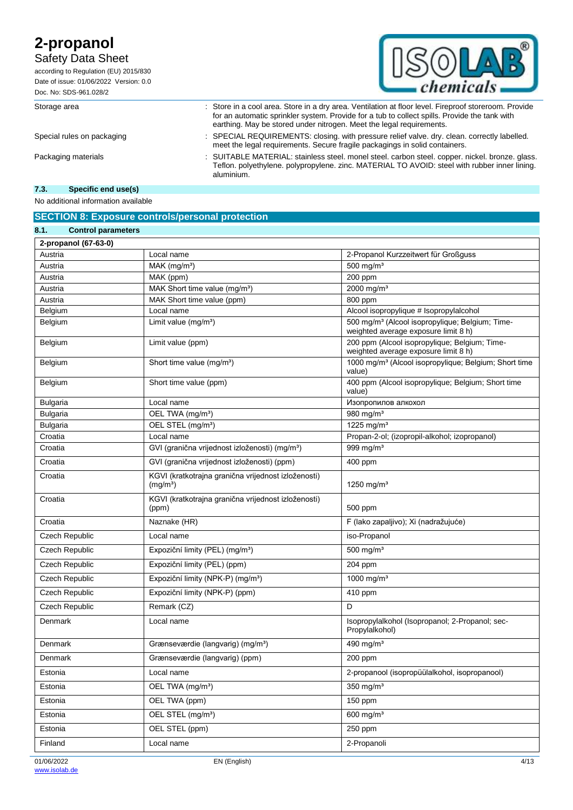### Safety Data Sheet

according to Regulation (EU) 2015/830 Date of issue: 01/06/2022 Version: 0.0 Doc. No: SDS-961.028/2



Storage area : Store in a cool area. Store in a dry area. Ventilation at floor level. Fireproof storeroom. Provide

Special rules on packaging : SPECIAL REQUIREMENTS: closing. with pressure relief valve. dry. clean. correctly labelled. meet the legal requirements. Secure fragile packagings in solid containers. Packaging materials : SUITABLE MATERIAL: stainless steel. monel steel. carbon steel. copper. nickel. bronze. glass. Teflon. polyethylene. polypropylene. zinc. MATERIAL TO AVOID: steel with rubber inner lining.

for an automatic sprinkler system. Provide for a tub to collect spills. Provide the tank with

earthing. May be stored under nitrogen. Meet the legal requirements.

#### **7.3. Specific end use(s)**

No additional information available

### **SECTION 8: Exposure controls/personal protection**

aluminium.

| 8.1.<br><b>Control parameters</b> |                                                                             |                                                                                                     |
|-----------------------------------|-----------------------------------------------------------------------------|-----------------------------------------------------------------------------------------------------|
| 2-propanol (67-63-0)              |                                                                             |                                                                                                     |
| Austria                           | Local name                                                                  | 2-Propanol Kurzzeitwert für Großguss                                                                |
| Austria                           | $MAK$ (mg/m <sup>3</sup> )                                                  | 500 mg/ $m3$                                                                                        |
| Austria                           | MAK (ppm)                                                                   | 200 ppm                                                                                             |
| Austria                           | MAK Short time value (mg/m <sup>3</sup> )                                   | 2000 mg/m <sup>3</sup>                                                                              |
| Austria                           | MAK Short time value (ppm)                                                  | 800 ppm                                                                                             |
| Belgium                           | Local name                                                                  | Alcool isopropylique # Isopropylalcohol                                                             |
| Belgium                           | Limit value (mg/m <sup>3</sup> )                                            | 500 mg/m <sup>3</sup> (Alcool isopropylique; Belgium; Time-<br>weighted average exposure limit 8 h) |
| Belgium                           | Limit value (ppm)                                                           | 200 ppm (Alcool isopropylique; Belgium; Time-<br>weighted average exposure limit 8 h)               |
| Belgium                           | Short time value (mg/m <sup>3</sup> )                                       | 1000 mg/m <sup>3</sup> (Alcool isopropylique; Belgium; Short time<br>value)                         |
| Belgium                           | Short time value (ppm)                                                      | 400 ppm (Alcool isopropylique; Belgium; Short time<br>value)                                        |
| <b>Bulgaria</b>                   | Local name                                                                  | Изопропилов алкохол                                                                                 |
| Bulgaria                          | OEL TWA (mg/m <sup>3</sup> )                                                | 980 mg/m <sup>3</sup>                                                                               |
| <b>Bulgaria</b>                   | OEL STEL (mg/m <sup>3</sup> )                                               | 1225 mg/m <sup>3</sup>                                                                              |
| Croatia                           | Local name                                                                  | Propan-2-ol; (izopropil-alkohol; izopropanol)                                                       |
| Croatia                           | GVI (granična vrijednost izloženosti) (mg/m <sup>3</sup> )                  | 999 mg/m <sup>3</sup>                                                                               |
| Croatia                           | GVI (granična vrijednost izloženosti) (ppm)                                 | 400 ppm                                                                                             |
| Croatia                           | KGVI (kratkotrajna granična vrijednost izloženosti)<br>(mg/m <sup>3</sup> ) | 1250 mg/m <sup>3</sup>                                                                              |
| Croatia                           | KGVI (kratkotrajna granična vrijednost izloženosti)<br>(ppm)                | 500 ppm                                                                                             |
| Croatia                           | Naznake (HR)                                                                | F (lako zapaljivo); Xi (nadražujuće)                                                                |
| Czech Republic                    | Local name                                                                  | iso-Propanol                                                                                        |
| Czech Republic                    | Expoziční limity (PEL) (mg/m <sup>3</sup> )                                 | 500 mg/ $m3$                                                                                        |
| Czech Republic                    | Expoziční limity (PEL) (ppm)                                                | 204 ppm                                                                                             |
| <b>Czech Republic</b>             | Expoziční limity (NPK-P) (mg/m <sup>3</sup> )                               | 1000 mg/m <sup>3</sup>                                                                              |
| Czech Republic                    | Expoziční limity (NPK-P) (ppm)                                              | 410 ppm                                                                                             |
| Czech Republic                    | Remark (CZ)                                                                 | D                                                                                                   |
| Denmark                           | Local name                                                                  | Isopropylalkohol (Isopropanol; 2-Propanol; sec-<br>Propylalkohol)                                   |
| Denmark                           | Grænseværdie (langvarig) (mg/m <sup>3</sup> )                               | 490 mg/m <sup>3</sup>                                                                               |
| Denmark                           | Grænseværdie (langvarig) (ppm)                                              | 200 ppm                                                                                             |
| Estonia                           | Local name                                                                  | 2-propanool (isopropüülalkohol, isopropanool)                                                       |
| Estonia                           | OEL TWA (mg/m <sup>3</sup> )                                                | 350 mg/ $m3$                                                                                        |
| Estonia                           | OEL TWA (ppm)                                                               | 150 ppm                                                                                             |
| Estonia                           | OEL STEL (mg/m <sup>3</sup> )                                               | 600 mg/m <sup>3</sup>                                                                               |
| Estonia                           | OEL STEL (ppm)                                                              | 250 ppm                                                                                             |
| Finland                           | Local name                                                                  | 2-Propanoli                                                                                         |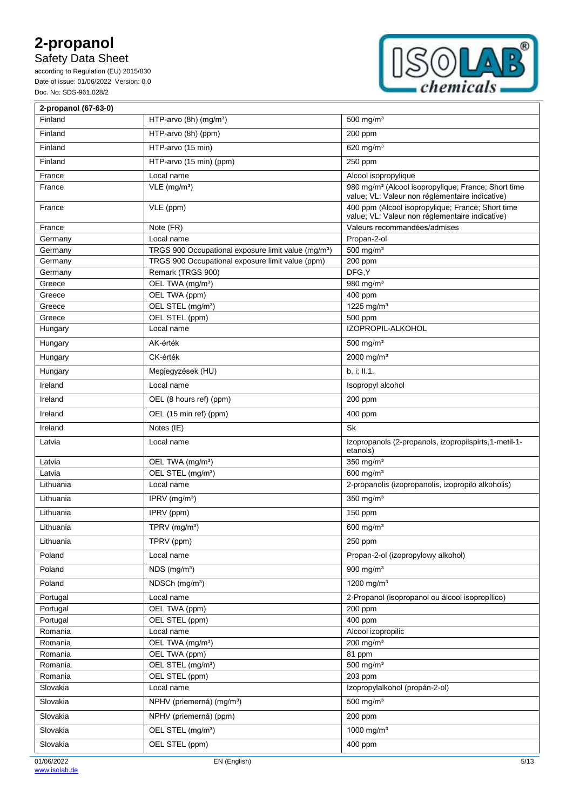Safety Data Sheet

according to Regulation (EU) 2015/830 Date of issue: 01/06/2022 Version: 0.0 Doc. No: SDS-961.028/2



| 2-propanol (67-63-0) |                                                                 |                                                                                                                    |
|----------------------|-----------------------------------------------------------------|--------------------------------------------------------------------------------------------------------------------|
| Finland              | HTP-arvo (8h) (mg/m <sup>3</sup> )                              | 500 mg/m <sup>3</sup>                                                                                              |
| Finland              | HTP-arvo (8h) (ppm)                                             | 200 ppm                                                                                                            |
| Finland              | HTP-arvo (15 min)                                               | 620 mg/ $m3$                                                                                                       |
| Finland              | HTP-arvo (15 min) (ppm)                                         | 250 ppm                                                                                                            |
| France               | Local name                                                      | Alcool isopropylique                                                                                               |
| France               | $VLE$ (mg/m <sup>3</sup> )                                      | 980 mg/m <sup>3</sup> (Alcool isopropylique; France; Short time<br>value; VL: Valeur non réglementaire indicative) |
| France               | VLE (ppm)                                                       | 400 ppm (Alcool isopropylique; France; Short time<br>value; VL: Valeur non réglementaire indicative)               |
| France               | Note (FR)                                                       | Valeurs recommandées/admises                                                                                       |
| Germany              | Local name                                                      | Propan-2-ol                                                                                                        |
| Germany              | TRGS 900 Occupational exposure limit value (mg/m <sup>3</sup> ) | 500 mg/ $m3$                                                                                                       |
| Germany              | TRGS 900 Occupational exposure limit value (ppm)                | 200 ppm                                                                                                            |
| Germany              | Remark (TRGS 900)                                               | DFG, Y                                                                                                             |
| Greece               | OEL TWA (mg/m <sup>3</sup> )                                    | 980 mg/m <sup>3</sup>                                                                                              |
| Greece               | OEL TWA (ppm)                                                   | 400 ppm                                                                                                            |
| Greece               | OEL STEL (mg/m <sup>3</sup> )                                   | 1225 mg/m <sup>3</sup>                                                                                             |
| Greece               | OEL STEL (ppm)                                                  | 500 ppm                                                                                                            |
| Hungary              | Local name                                                      | IZOPROPIL-ALKOHOL                                                                                                  |
| Hungary              | AK-érték                                                        | 500 mg/m <sup>3</sup>                                                                                              |
| Hungary              | CK-érték                                                        | 2000 mg/m <sup>3</sup>                                                                                             |
| Hungary              | Megjegyzések (HU)                                               | b, i; II.1.                                                                                                        |
| Ireland              | Local name                                                      | Isopropyl alcohol                                                                                                  |
| Ireland              | OEL (8 hours ref) (ppm)                                         | 200 ppm                                                                                                            |
| Ireland              | OEL (15 min ref) (ppm)                                          | 400 ppm                                                                                                            |
| Ireland              | Notes (IE)                                                      | Sk                                                                                                                 |
| Latvia               | Local name                                                      | Izopropanols (2-propanols, izopropilspirts, 1-metil-1-<br>etanols)                                                 |
| Latvia               | OEL TWA (mg/m <sup>3</sup> )                                    | 350 mg/m <sup>3</sup>                                                                                              |
| Latvia               | OEL STEL (mg/m <sup>3</sup> )                                   | 600 mg/m <sup>3</sup>                                                                                              |
| Lithuania            | Local name                                                      | 2-propanolis (izopropanolis, izopropilo alkoholis)                                                                 |
| Lithuania            | IPRV $(mg/m3)$                                                  | 350 mg/m <sup>3</sup>                                                                                              |
| Lithuania            | IPRV (ppm)                                                      | 150 ppm                                                                                                            |
| Lithuania            | TPRV (mg/m <sup>3</sup> )                                       | 600 mg/ $m3$                                                                                                       |
| Lithuania            | TPRV (ppm)                                                      | 250 ppm                                                                                                            |
| Poland               | Local name                                                      | Propan-2-ol (izopropylowy alkohol)                                                                                 |
| Poland               | $NDS$ (mg/m <sup>3</sup> )                                      | 900 mg/ $m3$                                                                                                       |
| Poland               | NDSCh (mg/m <sup>3</sup> )                                      | 1200 mg/m $3$                                                                                                      |
| Portugal             | Local name                                                      | 2-Propanol (isopropanol ou álcool isopropílico)                                                                    |
| Portugal             | OEL TWA (ppm)                                                   | 200 ppm                                                                                                            |
| Portugal             | OEL STEL (ppm)                                                  | 400 ppm                                                                                                            |
| Romania              | Local name                                                      | Alcool izopropilic                                                                                                 |
| Romania              | OEL TWA (mg/m <sup>3</sup> )                                    | 200 mg/m $3$                                                                                                       |
| Romania              | OEL TWA (ppm)                                                   | 81 ppm                                                                                                             |
| Romania              | OEL STEL (mg/m <sup>3</sup> )                                   | 500 mg/m <sup>3</sup>                                                                                              |
| Romania              | OEL STEL (ppm)                                                  | 203 ppm                                                                                                            |
| Slovakia             | Local name                                                      | Izopropylalkohol (propán-2-ol)                                                                                     |
| Slovakia             | NPHV (priemerná) (mg/m <sup>3</sup> )                           | 500 mg/m <sup>3</sup>                                                                                              |
| Slovakia             | NPHV (priemerná) (ppm)                                          | 200 ppm                                                                                                            |
| Slovakia             | OEL STEL (mg/m <sup>3</sup> )                                   | 1000 mg/m <sup>3</sup>                                                                                             |
| Slovakia             | OEL STEL (ppm)                                                  | 400 ppm                                                                                                            |
| 01/06/2022           | EN (English)                                                    | 5/13                                                                                                               |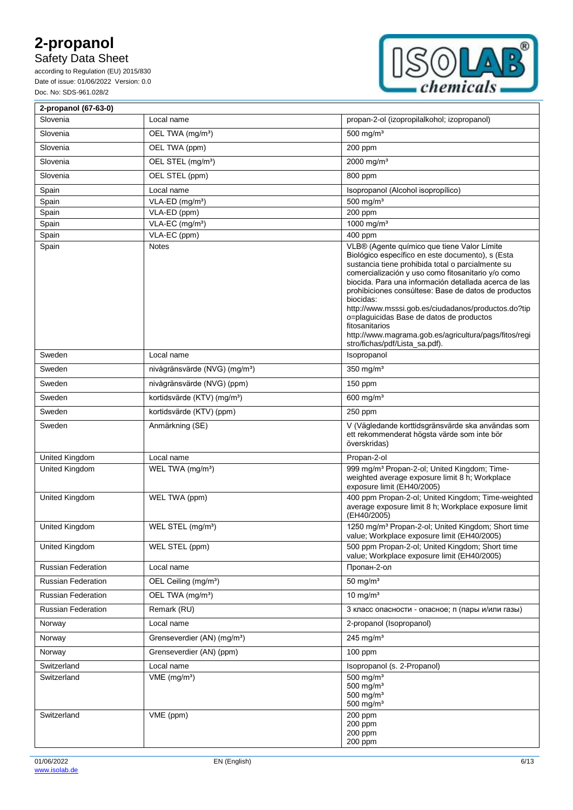## Safety Data Sheet

according to Regulation (EU) 2015/830 Date of issue: 01/06/2022 Version: 0.0 Doc. No: SDS-961.028/2



| 2-propanol (67-63-0)      |                                           |                                                                                                                                                                                                                                                                                                                                                                                                                                                                                                                                                          |
|---------------------------|-------------------------------------------|----------------------------------------------------------------------------------------------------------------------------------------------------------------------------------------------------------------------------------------------------------------------------------------------------------------------------------------------------------------------------------------------------------------------------------------------------------------------------------------------------------------------------------------------------------|
| Slovenia                  | Local name                                | propan-2-ol (izopropilalkohol; izopropanol)                                                                                                                                                                                                                                                                                                                                                                                                                                                                                                              |
| Slovenia                  | OEL TWA (mg/m <sup>3</sup> )              | 500 mg/ $m3$                                                                                                                                                                                                                                                                                                                                                                                                                                                                                                                                             |
| Slovenia                  | OEL TWA (ppm)                             | 200 ppm                                                                                                                                                                                                                                                                                                                                                                                                                                                                                                                                                  |
| Slovenia                  | OEL STEL (mg/m <sup>3</sup> )             | 2000 mg/m <sup>3</sup>                                                                                                                                                                                                                                                                                                                                                                                                                                                                                                                                   |
| Slovenia                  | OEL STEL (ppm)                            | 800 ppm                                                                                                                                                                                                                                                                                                                                                                                                                                                                                                                                                  |
| Spain                     | Local name                                | Isopropanol (Alcohol isopropílico)                                                                                                                                                                                                                                                                                                                                                                                                                                                                                                                       |
| Spain                     | $VLA-ED$ (mg/m <sup>3</sup> )             | $500$ mg/m <sup>3</sup>                                                                                                                                                                                                                                                                                                                                                                                                                                                                                                                                  |
| Spain                     | VLA-ED (ppm)                              | 200 ppm                                                                                                                                                                                                                                                                                                                                                                                                                                                                                                                                                  |
| Spain                     | VLA-EC (mg/m <sup>3</sup> )               | 1000 mg/m <sup>3</sup>                                                                                                                                                                                                                                                                                                                                                                                                                                                                                                                                   |
| Spain                     | VLA-EC (ppm)                              | 400 ppm                                                                                                                                                                                                                                                                                                                                                                                                                                                                                                                                                  |
| Spain                     | <b>Notes</b>                              | VLB® (Agente químico que tiene Valor Límite<br>Biológico específico en este documento), s (Esta<br>sustancia tiene prohibida total o parcialmente su<br>comercialización y uso como fitosanitario y/o como<br>biocida. Para una información detallada acerca de las<br>prohibiciones consúltese: Base de datos de productos<br>biocidas:<br>http://www.msssi.gob.es/ciudadanos/productos.do?tip<br>o=plaquicidas Base de datos de productos<br>fitosanitarios<br>http://www.magrama.gob.es/agricultura/pags/fitos/regi<br>stro/fichas/pdf/Lista sa.pdf). |
| Sweden                    | Local name                                | Isopropanol                                                                                                                                                                                                                                                                                                                                                                                                                                                                                                                                              |
| Sweden                    | nivågränsvärde (NVG) (mg/m <sup>3</sup> ) | 350 mg/ $m3$                                                                                                                                                                                                                                                                                                                                                                                                                                                                                                                                             |
| Sweden                    | nivågränsvärde (NVG) (ppm)                | 150 ppm                                                                                                                                                                                                                                                                                                                                                                                                                                                                                                                                                  |
| Sweden                    | kortidsvärde (KTV) (mg/m <sup>3</sup> )   | $600$ mg/m <sup>3</sup>                                                                                                                                                                                                                                                                                                                                                                                                                                                                                                                                  |
| Sweden                    | kortidsvärde (KTV) (ppm)                  | 250 ppm                                                                                                                                                                                                                                                                                                                                                                                                                                                                                                                                                  |
| Sweden                    | Anmärkning (SE)                           | V (Vägledande korttidsgränsvärde ska användas som<br>ett rekommenderat högsta värde som inte bör<br>överskridas)                                                                                                                                                                                                                                                                                                                                                                                                                                         |
| United Kingdom            | Local name                                | Propan-2-ol                                                                                                                                                                                                                                                                                                                                                                                                                                                                                                                                              |
| United Kingdom            | WEL TWA (mg/m <sup>3</sup> )              | 999 mg/m <sup>3</sup> Propan-2-ol; United Kingdom; Time-<br>weighted average exposure limit 8 h; Workplace<br>exposure limit (EH40/2005)                                                                                                                                                                                                                                                                                                                                                                                                                 |
| United Kingdom            | WEL TWA (ppm)                             | 400 ppm Propan-2-ol; United Kingdom; Time-weighted<br>average exposure limit 8 h; Workplace exposure limit<br>(EH40/2005)                                                                                                                                                                                                                                                                                                                                                                                                                                |
| United Kingdom            | WEL STEL (mg/m <sup>3</sup> )             | 1250 mg/m <sup>3</sup> Propan-2-ol; United Kingdom; Short time<br>value; Workplace exposure limit (EH40/2005)                                                                                                                                                                                                                                                                                                                                                                                                                                            |
| United Kingdom            | WEL STEL (ppm)                            | 500 ppm Propan-2-ol; United Kingdom; Short time<br>value; Workplace exposure limit (EH40/2005)                                                                                                                                                                                                                                                                                                                                                                                                                                                           |
| <b>Russian Federation</b> | Local name                                | Пропан-2-ол                                                                                                                                                                                                                                                                                                                                                                                                                                                                                                                                              |
| <b>Russian Federation</b> | OEL Ceiling (mg/m <sup>3</sup> )          | 50 mg/ $m3$                                                                                                                                                                                                                                                                                                                                                                                                                                                                                                                                              |
| <b>Russian Federation</b> | OEL TWA (mg/m <sup>3</sup> )              | 10 mg/ $m3$                                                                                                                                                                                                                                                                                                                                                                                                                                                                                                                                              |
| <b>Russian Federation</b> | Remark (RU)                               | 3 класс опасности - опасное; п (пары и/или газы)                                                                                                                                                                                                                                                                                                                                                                                                                                                                                                         |
| Norway                    | Local name                                | 2-propanol (Isopropanol)                                                                                                                                                                                                                                                                                                                                                                                                                                                                                                                                 |
| Norway                    | Grenseverdier (AN) (mg/m <sup>3</sup> )   | $245$ mg/m <sup>3</sup>                                                                                                                                                                                                                                                                                                                                                                                                                                                                                                                                  |
| Norway                    | Grenseverdier (AN) (ppm)                  | $100$ ppm                                                                                                                                                                                                                                                                                                                                                                                                                                                                                                                                                |
| Switzerland               | Local name                                | Isopropanol (s. 2-Propanol)                                                                                                                                                                                                                                                                                                                                                                                                                                                                                                                              |
| Switzerland               | $VME$ (mg/m <sup>3</sup> )                | $500$ mg/m <sup>3</sup><br>$500$ mg/m <sup>3</sup><br>$500$ mg/m <sup>3</sup><br>500 mg/ $m3$                                                                                                                                                                                                                                                                                                                                                                                                                                                            |
| Switzerland               | VME (ppm)                                 | 200 ppm<br>200 ppm<br>200 ppm<br>200 ppm                                                                                                                                                                                                                                                                                                                                                                                                                                                                                                                 |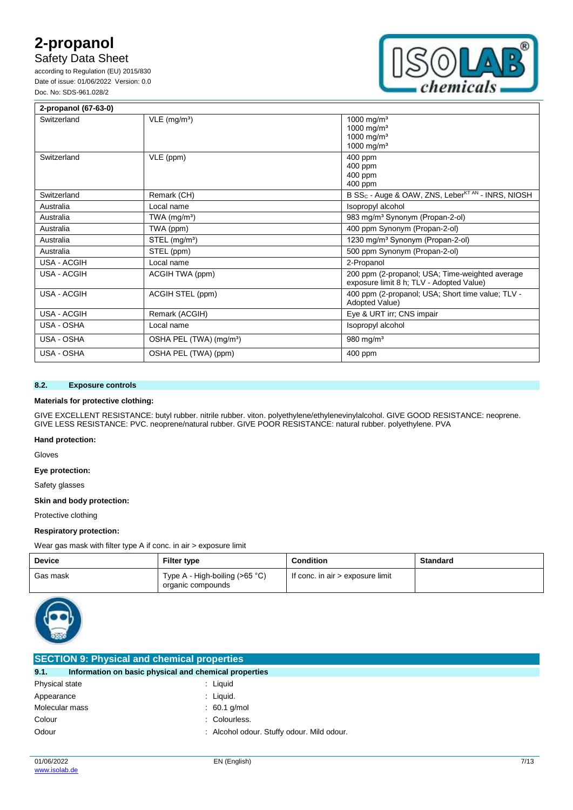## Safety Data Sheet

according to Regulation (EU) 2015/830 Date of issue: 01/06/2022 Version: 0.0 Doc. No: SDS-961.028/2



| 2-propanol (67-63-0) |                                     |                                                                                                      |
|----------------------|-------------------------------------|------------------------------------------------------------------------------------------------------|
| Switzerland          | $VLE$ (mg/m <sup>3</sup> )          | 1000 mg/m <sup>3</sup><br>1000 mg/m <sup>3</sup><br>1000 mg/m <sup>3</sup><br>1000 mg/m <sup>3</sup> |
| Switzerland          | VLE (ppm)                           | 400 ppm<br>400 ppm<br>400 ppm<br>400 ppm                                                             |
| Switzerland          | Remark (CH)                         | B SS <sub>C</sub> - Auge & OAW, ZNS, Leber <sup>KT AN</sup> - INRS, NIOSH                            |
| Australia            | Local name                          | Isopropyl alcohol                                                                                    |
| Australia            | TWA $(mg/m3)$                       | 983 mg/m <sup>3</sup> Synonym (Propan-2-ol)                                                          |
| Australia            | TWA (ppm)                           | 400 ppm Synonym (Propan-2-ol)                                                                        |
| Australia            | STEL (mg/m <sup>3</sup> )           | 1230 mg/m <sup>3</sup> Synonym (Propan-2-ol)                                                         |
| Australia            | STEL (ppm)                          | 500 ppm Synonym (Propan-2-ol)                                                                        |
| <b>USA - ACGIH</b>   | Local name                          | 2-Propanol                                                                                           |
| <b>USA - ACGIH</b>   | ACGIH TWA (ppm)                     | 200 ppm (2-propanol; USA; Time-weighted average<br>exposure limit 8 h; TLV - Adopted Value)          |
| USA - ACGIH          | ACGIH STEL (ppm)                    | 400 ppm (2-propanol; USA; Short time value; TLV -<br>Adopted Value)                                  |
| <b>USA - ACGIH</b>   | Remark (ACGIH)                      | Eye & URT irr; CNS impair                                                                            |
| USA - OSHA           | Local name                          | Isopropyl alcohol                                                                                    |
| USA - OSHA           | OSHA PEL (TWA) (mg/m <sup>3</sup> ) | 980 mg/m <sup>3</sup>                                                                                |
| USA - OSHA           | OSHA PEL (TWA) (ppm)                | 400 ppm                                                                                              |

#### **8.2. Exposure controls**

#### **Materials for protective clothing:**

GIVE EXCELLENT RESISTANCE: butyl rubber. nitrile rubber. viton. polyethylene/ethylenevinylalcohol. GIVE GOOD RESISTANCE: neoprene. GIVE LESS RESISTANCE: PVC. neoprene/natural rubber. GIVE POOR RESISTANCE: natural rubber. polyethylene. PVA

#### **Hand protection:**

Gloves

#### **Eye protection:**

Safety glasses

### **Skin and body protection:**

Protective clothing

#### **Respiratory protection:**

Wear gas mask with filter type A if conc. in air > exposure limit

| <b>Device</b> | Filter type                                         | <b>Condition</b>                 | <b>Standard</b> |
|---------------|-----------------------------------------------------|----------------------------------|-----------------|
| Gas mask      | Type A - High-boiling (>65 °C)<br>organic compounds | If conc. in air > exposure limit |                 |



| <b>SECTION 9: Physical and chemical properties</b>            |                                            |  |
|---------------------------------------------------------------|--------------------------------------------|--|
| 9.1.<br>Information on basic physical and chemical properties |                                            |  |
| Physical state                                                | : Liguid                                   |  |
| Appearance                                                    | : Liquid.                                  |  |
| Molecular mass                                                | $: 60.1$ g/mol                             |  |
| Colour                                                        | : Colourless.                              |  |
| Odour                                                         | : Alcohol odour. Stuffy odour. Mild odour. |  |
|                                                               |                                            |  |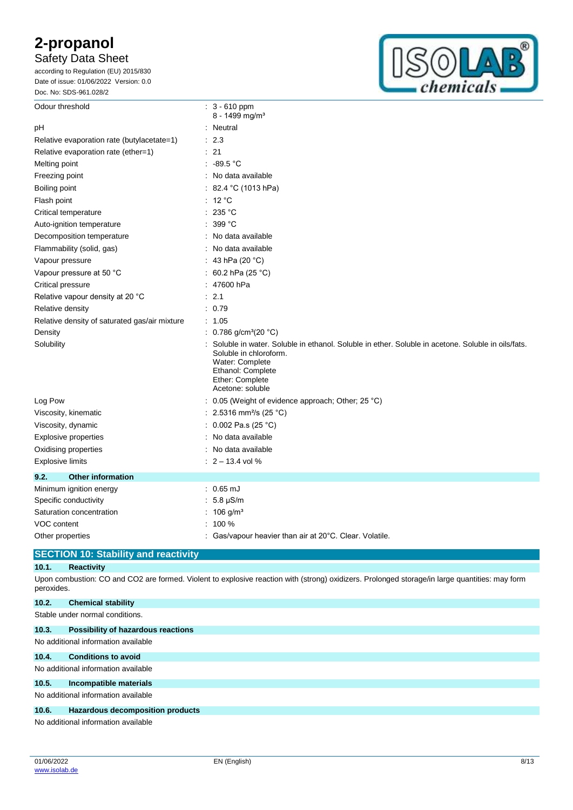## Safety Data Sheet

according to Regulation (EU) 2015/830 Date of issue: 01/06/2022 Version: 0.0 Doc. No: SDS-961.028/2



| Odour threshold                               | $: 3 - 610$ ppm<br>8 - 1499 mg/m <sup>3</sup>                                                                                                                                                              |  |
|-----------------------------------------------|------------------------------------------------------------------------------------------------------------------------------------------------------------------------------------------------------------|--|
| pH                                            | : Neutral                                                                                                                                                                                                  |  |
| Relative evaporation rate (butylacetate=1)    | : 2.3                                                                                                                                                                                                      |  |
| Relative evaporation rate (ether=1)           | : 21                                                                                                                                                                                                       |  |
| Melting point                                 | : 89.5 °C                                                                                                                                                                                                  |  |
| Freezing point                                | : No data available                                                                                                                                                                                        |  |
| Boiling point                                 | : 82.4 °C (1013 hPa)                                                                                                                                                                                       |  |
| Flash point                                   | : 12 °C                                                                                                                                                                                                    |  |
| Critical temperature                          | : 235 °C                                                                                                                                                                                                   |  |
| Auto-ignition temperature                     | 399 °C                                                                                                                                                                                                     |  |
| Decomposition temperature                     | : No data available                                                                                                                                                                                        |  |
| Flammability (solid, gas)                     | : No data available                                                                                                                                                                                        |  |
| Vapour pressure                               | : 43 hPa (20 $^{\circ}$ C)                                                                                                                                                                                 |  |
| Vapour pressure at 50 °C                      | : 60.2 hPa (25 $^{\circ}$ C)                                                                                                                                                                               |  |
| Critical pressure                             | : 47600 hPa                                                                                                                                                                                                |  |
| Relative vapour density at 20 °C              | : 2.1                                                                                                                                                                                                      |  |
| Relative density                              | : 0.79                                                                                                                                                                                                     |  |
| Relative density of saturated gas/air mixture | : 1.05                                                                                                                                                                                                     |  |
| Density                                       | : $0.786$ g/cm <sup>3</sup> (20 °C)                                                                                                                                                                        |  |
| Solubility                                    | Soluble in water. Soluble in ethanol. Soluble in ether. Soluble in acetone. Soluble in oils/fats.<br>Soluble in chloroform.<br>Water: Complete<br>Ethanol: Complete<br>Ether: Complete<br>Acetone: soluble |  |
| Log Pow                                       | : 0.05 (Weight of evidence approach; Other; 25 °C)                                                                                                                                                         |  |
| Viscosity, kinematic                          | : 2.5316 mm <sup>2</sup> /s (25 °C)                                                                                                                                                                        |  |
| Viscosity, dynamic                            | : $0.002$ Pa.s (25 °C)                                                                                                                                                                                     |  |
| <b>Explosive properties</b>                   | : No data available                                                                                                                                                                                        |  |
| Oxidising properties                          | : No data available                                                                                                                                                                                        |  |
| <b>Explosive limits</b>                       | $: 2 - 13.4$ vol %                                                                                                                                                                                         |  |
| 9.2.<br><b>Other information</b>              |                                                                                                                                                                                                            |  |
| Minimum ignition energy                       | $: 0.65 \text{ mJ}$                                                                                                                                                                                        |  |
| Specific conductivity                         | $: 5.8 \mu S/m$                                                                                                                                                                                            |  |
| Saturation concentration                      | : $106 g/m3$                                                                                                                                                                                               |  |
| <b>VOC</b> content                            | $: 100 \%$                                                                                                                                                                                                 |  |
| Other properties                              | Gas/vapour heavier than air at 20°C. Clear. Volatile.                                                                                                                                                      |  |

### **SECTION 10: Stability and reactivity**

#### **10.1. Reactivity**

Upon combustion: CO and CO2 are formed. Violent to explosive reaction with (strong) oxidizers. Prolonged storage/in large quantities: may form peroxides.

| 10.2. | <b>Chemical stability</b>                                                                                           |
|-------|---------------------------------------------------------------------------------------------------------------------|
|       | Stable under normal conditions.                                                                                     |
| 10.3. | <b>Possibility of hazardous reactions</b>                                                                           |
|       | No additional information available                                                                                 |
| 10.4. | <b>Conditions to avoid</b>                                                                                          |
|       | No additional information available                                                                                 |
| 10.5. | Incompatible materials                                                                                              |
|       | No additional information available                                                                                 |
| 10.6. | Hazardous decomposition products                                                                                    |
|       | The first state of the company of the company of the first state of the first state of the first state of the first |

No additional information available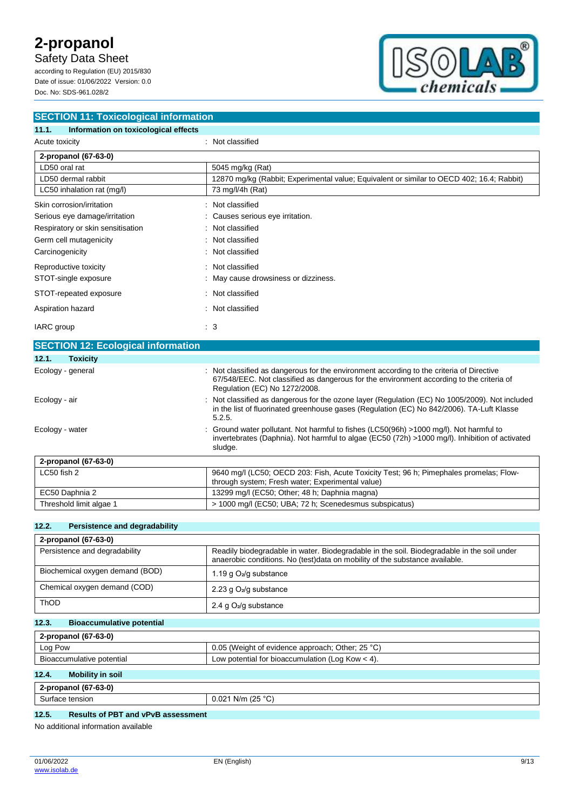Safety Data Sheet

according to Regulation (EU) 2015/830 Date of issue: 01/06/2022 Version: 0.0 Doc. No: SDS-961.028/2



| <b>SECTION 11: Toxicological information</b>  |                                                                                           |  |  |  |
|-----------------------------------------------|-------------------------------------------------------------------------------------------|--|--|--|
| Information on toxicological effects<br>11.1. |                                                                                           |  |  |  |
| Acute toxicity                                | : Not classified                                                                          |  |  |  |
| 2-propanol (67-63-0)                          |                                                                                           |  |  |  |
| LD50 oral rat                                 | 5045 mg/kg (Rat)                                                                          |  |  |  |
| LD50 dermal rabbit                            | 12870 mg/kg (Rabbit; Experimental value; Equivalent or similar to OECD 402; 16.4; Rabbit) |  |  |  |
| LC50 inhalation rat (mg/l)                    | 73 mg/l/4h (Rat)                                                                          |  |  |  |
| Skin corrosion/irritation                     | : Not classified                                                                          |  |  |  |
| Serious eye damage/irritation                 | : Causes serious eye irritation.                                                          |  |  |  |
| Respiratory or skin sensitisation             | : Not classified                                                                          |  |  |  |
| Germ cell mutagenicity                        | : Not classified                                                                          |  |  |  |
| Carcinogenicity                               | : Not classified                                                                          |  |  |  |
| Reproductive toxicity                         | : Not classified                                                                          |  |  |  |
| STOT-single exposure                          | : May cause drowsiness or dizziness.                                                      |  |  |  |
| STOT-repeated exposure                        | : Not classified                                                                          |  |  |  |
| Aspiration hazard                             | : Not classified                                                                          |  |  |  |
| IARC group                                    | $\cdot$ 3                                                                                 |  |  |  |

|                          | <b>SECTION 12: Ecological information</b> |                                                                                                                                                                                                                     |  |  |
|--------------------------|-------------------------------------------|---------------------------------------------------------------------------------------------------------------------------------------------------------------------------------------------------------------------|--|--|
| <b>Toxicity</b><br>12.1. |                                           |                                                                                                                                                                                                                     |  |  |
| Ecology - general        |                                           | Not classified as dangerous for the environment according to the criteria of Directive<br>67/548/EEC. Not classified as dangerous for the environment according to the criteria of<br>Regulation (EC) No 1272/2008. |  |  |
| Ecology - air            |                                           | : Not classified as dangerous for the ozone layer (Regulation (EC) No 1005/2009). Not included<br>in the list of fluorinated greenhouse gases (Regulation (EC) No 842/2006). TA-Luft Klasse<br>5.2.5.               |  |  |
| Ecology - water          |                                           | : Ground water pollutant. Not harmful to fishes (LC50(96h) >1000 mg/l). Not harmful to<br>invertebrates (Daphnia). Not harmful to algae (EC50 (72h) >1000 mg/l). Inhibition of activated<br>sludge.                 |  |  |
| 2-propanol (67-63-0)     |                                           |                                                                                                                                                                                                                     |  |  |
| LC50 fish 2              |                                           | 9640 mg/l (LC50; OECD 203: Fish, Acute Toxicity Test; 96 h; Pimephales promelas; Flow-<br>through system; Fresh water; Experimental value)                                                                          |  |  |
| EC50 Daphnia 2           |                                           | 13299 mg/l (EC50; Other; 48 h; Daphnia magna)                                                                                                                                                                       |  |  |
| Threshold limit algae 1  |                                           | > 1000 mg/l (EC50; UBA; 72 h; Scenedesmus subspicatus)                                                                                                                                                              |  |  |

#### **12.2. Persistence and degradability**

| 2-propanol (67-63-0)            |                                                                                                                                                                           |
|---------------------------------|---------------------------------------------------------------------------------------------------------------------------------------------------------------------------|
| Persistence and degradability   | Readily biodegradable in water. Biodegradable in the soil. Biodegradable in the soil under<br>anaerobic conditions. No (test)data on mobility of the substance available. |
| Biochemical oxygen demand (BOD) | 1.19 g $O_2$ /g substance                                                                                                                                                 |
| Chemical oxygen demand (COD)    | 2.23 g $O_2$ /g substance                                                                                                                                                 |
| ThOD                            | 2.4 g $O_2$ /g substance                                                                                                                                                  |

## **12.3. Bioaccumulative potential**

| 2-propanol (67-63-0)      |                                                    |
|---------------------------|----------------------------------------------------|
| Log Pow                   | 0.05 (Weight of evidence approach; Other; 25 °C)   |
| Bioaccumulative potential | Low potential for bioaccumulation (Log Kow $<$ 4). |

### **12.4. Mobility in soil**

| (67.62.0)<br>$n$ nnonna<br>opanor<br>7-03-U<br>2-P |                           |
|----------------------------------------------------|---------------------------|
| e tension<br>lauc                                  | . (25 °C`<br>N/m<br>0.021 |
|                                                    |                           |

### **12.5. Results of PBT and vPvB assessment**

No additional information available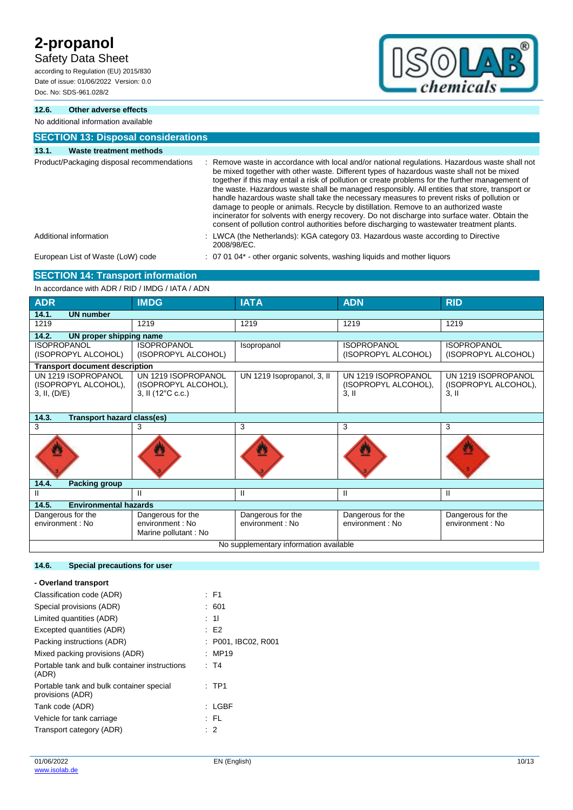## Safety Data Sheet

according to Regulation (EU) 2015/830 Date of issue: 01/06/2022 Version: 0.0 Doc. No: SDS-961.028/2



### **12.6. Other adverse effects**

No additional information available

| <b>SECTION 13: Disposal considerations</b> |                                                                                                                                                                                                                                                                                                                                                                                                                                                                                                                                                                                                                                                                                                                                                                                        |  |  |
|--------------------------------------------|----------------------------------------------------------------------------------------------------------------------------------------------------------------------------------------------------------------------------------------------------------------------------------------------------------------------------------------------------------------------------------------------------------------------------------------------------------------------------------------------------------------------------------------------------------------------------------------------------------------------------------------------------------------------------------------------------------------------------------------------------------------------------------------|--|--|
| 13.1.<br>Waste treatment methods           |                                                                                                                                                                                                                                                                                                                                                                                                                                                                                                                                                                                                                                                                                                                                                                                        |  |  |
| Product/Packaging disposal recommendations | : Remove waste in accordance with local and/or national regulations. Hazardous waste shall not<br>be mixed together with other waste. Different types of hazardous waste shall not be mixed<br>together if this may entail a risk of pollution or create problems for the further management of<br>the waste. Hazardous waste shall be managed responsibly. All entities that store, transport or<br>handle hazardous waste shall take the necessary measures to prevent risks of pollution or<br>damage to people or animals. Recycle by distillation. Remove to an authorized waste<br>incinerator for solvents with energy recovery. Do not discharge into surface water. Obtain the<br>consent of pollution control authorities before discharging to wastewater treatment plants. |  |  |
| Additional information                     | : LWCA (the Netherlands): KGA category 03. Hazardous waste according to Directive<br>2008/98/EC.                                                                                                                                                                                                                                                                                                                                                                                                                                                                                                                                                                                                                                                                                       |  |  |
| European List of Waste (LoW) code          | : 07 01 04* - other organic solvents, washing liquids and mother liquors                                                                                                                                                                                                                                                                                                                                                                                                                                                                                                                                                                                                                                                                                                               |  |  |

## **SECTION 14: Transport information**

In accordance with ADR / RID / IMDG / IATA / ADN

| <b>ADR</b>                                                  | <b>IMDG</b>                                                      | <b>IATA</b>                                              | <b>ADN</b>                                             | <b>RID</b>                                          |
|-------------------------------------------------------------|------------------------------------------------------------------|----------------------------------------------------------|--------------------------------------------------------|-----------------------------------------------------|
| 14.1.<br><b>UN number</b>                                   |                                                                  |                                                          |                                                        |                                                     |
| 1219                                                        | 1219                                                             | 1219                                                     | 1219                                                   | 1219                                                |
| 14.2.<br>UN proper shipping name                            |                                                                  |                                                          |                                                        |                                                     |
| <b>ISOPROPANOL</b><br>(ISOPROPYL ALCOHOL)                   | <b>ISOPROPANOL</b><br>(ISOPROPYL ALCOHOL)                        | <b>ISOPROPANOL</b><br>Isopropanol<br>(ISOPROPYL ALCOHOL) |                                                        | <b>ISOPROPANOL</b><br>(ISOPROPYL ALCOHOL)           |
| <b>Transport document description</b>                       |                                                                  |                                                          |                                                        |                                                     |
| UN 1219 ISOPROPANOL<br>(ISOPROPYL ALCOHOL),<br>3, II, (D/E) | UN 1219 ISOPROPANOL<br>(ISOPROPYL ALCOHOL),<br>3, II (12°C c.c.) | UN 1219 Isopropanol, 3, II                               | UN 1219 ISOPROPANOL<br>(ISOPROPYL ALCOHOL),<br>$3,$ II | UN 1219 ISOPROPANOL<br>(ISOPROPYL ALCOHOL),<br>3.11 |
| 14.3.<br><b>Transport hazard class(es)</b>                  |                                                                  |                                                          |                                                        |                                                     |
| 3                                                           | 3                                                                | 3                                                        | 3                                                      | 3                                                   |
|                                                             |                                                                  |                                                          |                                                        |                                                     |
| 14.4.<br><b>Packing group</b>                               |                                                                  |                                                          |                                                        |                                                     |
| Ш                                                           | Ш                                                                | Ш                                                        | Ш                                                      | Ш                                                   |
| <b>Environmental hazards</b><br>14.5.                       |                                                                  |                                                          |                                                        |                                                     |
| Dangerous for the<br>environment: No                        | Dangerous for the<br>environment: No<br>Marine pollutant: No     | Dangerous for the<br>environment : No                    | Dangerous for the<br>environment: No                   | Dangerous for the<br>environment: No                |
| No supplementary information available                      |                                                                  |                                                          |                                                        |                                                     |

### **14.6. Special precautions for user**

| - Overland transport                                         |                   |
|--------------------------------------------------------------|-------------------|
| Classification code (ADR)                                    | : F1              |
| Special provisions (ADR)                                     | : 601             |
| Limited quantities (ADR)                                     | 11                |
| Excepted quantities (ADR)                                    | : E2              |
| Packing instructions (ADR)                                   | P001, IBC02, R001 |
| Mixed packing provisions (ADR)                               | :MP19             |
| Portable tank and bulk container instructions<br>(ADR)       | : T4              |
| Portable tank and bulk container special<br>provisions (ADR) | $:$ TP1           |
| Tank code (ADR)                                              | LGBF<br>t.        |
| Vehicle for tank carriage                                    | : FL              |
| Transport category (ADR)                                     | $\cdot$ 2         |
|                                                              |                   |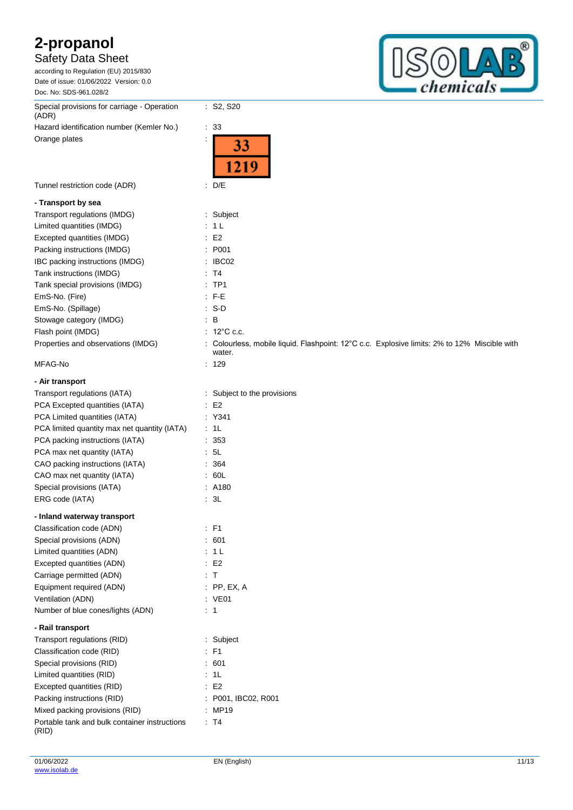### Safety Data Sheet

according to Regulation (EU) 2015/830 Date of issue: 01/06/2022 Version: 0.0 Doc. No: SDS-961.028/2

Special provisions for carriage - Operation (ADR) Hazard identification number (Kemler No.) : 33

Orange plates

33 1219

: S2, S20

Tunnel restriction code (ADR) : D/E

#### **- Transport by sea**

| Transport regulations (IMDG)       | : Subject                                                                                              |
|------------------------------------|--------------------------------------------------------------------------------------------------------|
| Limited quantities (IMDG)          | : 1L                                                                                                   |
| Excepted quantities (IMDG)         | $\therefore$ E2                                                                                        |
| Packing instructions (IMDG)        | : P001                                                                                                 |
| IBC packing instructions (IMDG)    | $\therefore$ IBC02                                                                                     |
| Tank instructions (IMDG)           | $\therefore$ T4                                                                                        |
| Tank special provisions (IMDG)     | $:$ TP1                                                                                                |
| EmS-No. (Fire)                     | $\therefore$ F-E                                                                                       |
| EmS-No. (Spillage)                 | $: S-D$                                                                                                |
| Stowage category (IMDG)            | $\mathbf{B}$                                                                                           |
| Flash point (IMDG)                 | $\therefore$ 12°C c.c.                                                                                 |
| Properties and observations (IMDG) | : Colourless, mobile liquid. Flashpoint: 12°C c.c. Explosive limits: 2% to 12% Miscible with<br>water. |
| MFAG-No                            | 129                                                                                                    |

### **- Air transport** Transport regulations (IATA) : Subject to the provisions PCA Excepted quantities (IATA) : E2 PCA Limited quantities (IATA) : Y341 PCA limited quantity max net quantity (IATA) : 1L PCA packing instructions (IATA) : 353 PCA max net quantity (IATA) : 5L CAO packing instructions (IATA) : 364 CAO max net quantity (IATA) : 60L Special provisions (IATA) : A180 ERG code (IATA) : 3L **- Inland waterway transport** Classification code (ADN) : F1 Special provisions (ADN) : 601 Limited quantities (ADN) : 1 L Excepted quantities (ADN) : E2 Carriage permitted (ADN) **in the case of the Carriage Carriage Carrier Carrier Carrier Carrier Carrier Carrier C** Equipment required (ADN) : PP, EX, A Ventilation (ADN) in the set of the set of the set of the ventilation (ADN) in the set of the ventilation of the ventilation of the ventilation of the ventilation of the ventilation of the ventilation of the ventilation of Number of blue cones/lights (ADN) : 1 **- Rail transport** Transport regulations (RID) : Subject Classification code (RID) : F1 Special provisions (RID) 30 and 500 million control of the Special provisions (RID) 31 and 500 million control of the Special August 2013 Limited quantities (RID) : 1L

| : E2                |
|---------------------|
| : P001. IBC02, R001 |
| $\therefore$ MP19   |
| ∵ T4                |
|                     |

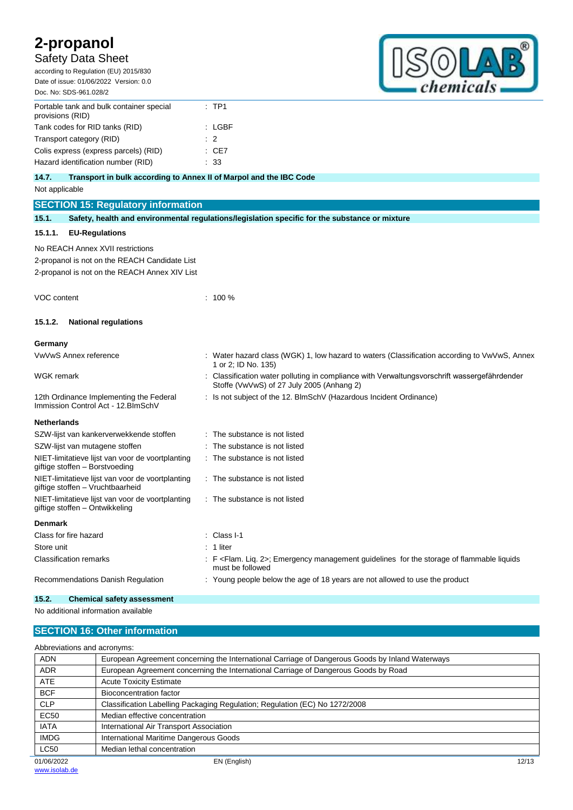## Safety Data Sheet

according to Regulation (EU) 2015/830 Date of issue: 01/06/2022 Version: 0.0 Doc. No: SDS-961.028/2



| Portable tank and bulk container special<br>provisions (RID) | $:$ TP1        |
|--------------------------------------------------------------|----------------|
| Tank codes for RID tanks (RID)                               | : LGBF         |
| Transport category (RID)                                     | $\therefore$ 2 |
| Colis express (express parcels) (RID)                        | : CE7          |
| Hazard identification number (RID)                           | : 33           |
|                                                              |                |

#### **14.7. Transport in bulk according to Annex II of Marpol and the IBC Code**

Not applicable

| ι νυι αρριπασισ                         |                                                                                                |  |                                                                                                                                           |  |  |  |
|-----------------------------------------|------------------------------------------------------------------------------------------------|--|-------------------------------------------------------------------------------------------------------------------------------------------|--|--|--|
|                                         | <b>SECTION 15: Regulatory information</b>                                                      |  |                                                                                                                                           |  |  |  |
| 15.1.                                   | Safety, health and environmental regulations/legislation specific for the substance or mixture |  |                                                                                                                                           |  |  |  |
| 15.1.1.                                 | <b>EU-Regulations</b>                                                                          |  |                                                                                                                                           |  |  |  |
|                                         | No REACH Annex XVII restrictions                                                               |  |                                                                                                                                           |  |  |  |
|                                         | 2-propanol is not on the REACH Candidate List                                                  |  |                                                                                                                                           |  |  |  |
|                                         | 2-propanol is not on the REACH Annex XIV List                                                  |  |                                                                                                                                           |  |  |  |
| <b>VOC content</b>                      |                                                                                                |  | $: 100 \%$                                                                                                                                |  |  |  |
| 15.1.2.                                 | <b>National regulations</b>                                                                    |  |                                                                                                                                           |  |  |  |
| Germany                                 |                                                                                                |  |                                                                                                                                           |  |  |  |
|                                         | VwVwS Annex reference                                                                          |  | : Water hazard class (WGK) 1, low hazard to waters (Classification according to VwVwS, Annex<br>1 or 2; ID No. 135)                       |  |  |  |
| WGK remark                              |                                                                                                |  | : Classification water polluting in compliance with Verwaltungsvorschrift wassergefährdender<br>Stoffe (VwVwS) of 27 July 2005 (Anhang 2) |  |  |  |
|                                         | 12th Ordinance Implementing the Federal<br>Immission Control Act - 12. BlmSchV                 |  | : Is not subject of the 12. BImSchV (Hazardous Incident Ordinance)                                                                        |  |  |  |
| <b>Netherlands</b>                      |                                                                                                |  |                                                                                                                                           |  |  |  |
| SZW-lijst van kankerverwekkende stoffen |                                                                                                |  | : The substance is not listed                                                                                                             |  |  |  |
|                                         | SZW-lijst van mutagene stoffen                                                                 |  | The substance is not listed                                                                                                               |  |  |  |
|                                         | NIET-limitatieve lijst van voor de voortplanting<br>giftige stoffen - Borstvoeding             |  | : The substance is not listed                                                                                                             |  |  |  |
|                                         | NIET-limitatieve lijst van voor de voortplanting<br>giftige stoffen - Vruchtbaarheid           |  | : The substance is not listed                                                                                                             |  |  |  |
|                                         | NIET-limitatieve lijst van voor de voortplanting<br>giftige stoffen - Ontwikkeling             |  | : The substance is not listed                                                                                                             |  |  |  |
| <b>Denmark</b>                          |                                                                                                |  |                                                                                                                                           |  |  |  |
|                                         | Class for fire hazard                                                                          |  | Class I-1                                                                                                                                 |  |  |  |
| Store unit                              |                                                                                                |  | 1 liter                                                                                                                                   |  |  |  |
|                                         | <b>Classification remarks</b>                                                                  |  | : F <flam. 2="" liq.="">; Emergency management guidelines for the storage of flammable liquids<br/>must be followed</flam.>               |  |  |  |
|                                         | Recommendations Danish Regulation                                                              |  | : Young people below the age of 18 years are not allowed to use the product                                                               |  |  |  |

#### **15.2. Chemical safety assessment**

No additional information available

### **SECTION 16: Other information**

| Abbreviations and acronyms: |                                                                                                 |       |  |  |  |
|-----------------------------|-------------------------------------------------------------------------------------------------|-------|--|--|--|
| <b>ADN</b>                  | European Agreement concerning the International Carriage of Dangerous Goods by Inland Waterways |       |  |  |  |
| <b>ADR</b>                  | European Agreement concerning the International Carriage of Dangerous Goods by Road             |       |  |  |  |
| <b>ATE</b>                  | <b>Acute Toxicity Estimate</b>                                                                  |       |  |  |  |
| <b>BCF</b>                  | Bioconcentration factor                                                                         |       |  |  |  |
| <b>CLP</b>                  | Classification Labelling Packaging Regulation; Regulation (EC) No 1272/2008                     |       |  |  |  |
| EC50                        | Median effective concentration                                                                  |       |  |  |  |
| <b>IATA</b>                 | International Air Transport Association                                                         |       |  |  |  |
| <b>IMDG</b>                 | International Maritime Dangerous Goods                                                          |       |  |  |  |
| <b>LC50</b>                 | Median lethal concentration                                                                     |       |  |  |  |
| 01/06/2022                  | EN (English)                                                                                    | 12/13 |  |  |  |